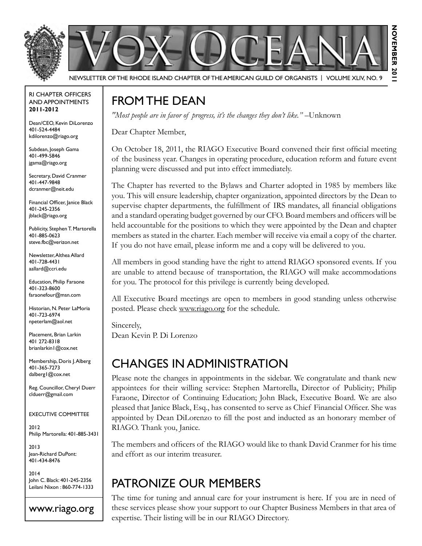



Newsletter of the Rhode Island Chapter of the American Guild of OrganistS | Volume XLIV, No. 9

#### RI Chapter Officers and Appointments **2011-2012**

Dean/CEO, Kevin DiLorenzo 401-524-4484 kdilorenzo@riago.org

Subdean, Joseph Gama 401-499-5846 jgama@riago.org

Secretary, David Cranmer 401-447-9848 dcranmer@neit.edu

Financial Officer, Janice Black 401-245-2356 jblack@riago.org

Publicity, Stephen T. Martorella 401-885-0623 steve.fbc@verizon.net

Newsletter, Althea Allard 401-728-4431 aallard@ccri.edu

Education, Philip Faraone 401-323-8600 faraonefour@msn.com

Historian, N. Peter LaMoria 401-723-6974 npeterlam@aol.net

Placement, Brian Larkin 401 272-8318 brianlarkin1@cox.net

Membership, Doris J. Alberg 401-365-7273 dalberg1@cox.net

Reg. Councillor, Cheryl Duerr clduerr@gmail.com

Executive Committee

2012 Philip Martorella: 401-885-3431

2013 Jean-Richard DuPont: 401-434-8476

2014 John C. Black: 401-245-2356 Leilani Nixon : 860-774-1333

#### www.riago.org

#### FROM THE DEAN

*"Most people are in favor of progress, it's the changes they don't like." –*Unknown

Dear Chapter Member,

On October 18, 2011, the RIAGO Executive Board convened their first official meeting of the business year. Changes in operating procedure, education reform and future event planning were discussed and put into effect immediately.

November 2011

The Chapter has reverted to the Bylaws and Charter adopted in 1985 by members like you. This will ensure leadership, chapter organization, appointed directors by the Dean to supervise chapter departments, the fulfillment of IRS mandates, all financial obligations and a standard operating budget governed by our CFO. Board members and officers will be held accountable for the positions to which they were appointed by the Dean and chapter members as stated in the charter. Each member will receive via email a copy of the charter. If you do not have email, please inform me and a copy will be delivered to you.

All members in good standing have the right to attend RIAGO sponsored events. If you are unable to attend because of transportation, the RIAGO will make accommodations for you. The protocol for this privilege is currently being developed.

All Executive Board meetings are open to members in good standing unless otherwise posted. Please check www.riago.org for the schedule.

Sincerely, Dean Kevin P. Di Lorenzo

### Changes in Administration

Please note the changes in appointments in the sidebar. We congratulate and thank new appointees for their willing service: Stephen Martorella, Director of Publicity; Philip Faraone, Director of Continuing Education; John Black, Executive Board. We are also pleased that Janice Black, Esq., has consented to serve as Chief Financial Officer. She was appointed by Dean DiLorenzo to fill the post and inducted as an honorary member of RIAGO. Thank you, Janice.

The members and officers of the RIAGO would like to thank David Cranmer for his time and effort as our interim treasurer.

### Patronize Our Members

The time for tuning and annual care for your instrument is here. If you are in need of these services please show your support to our Chapter Business Members in that area of expertise. Their listing will be in our RIAGO Directory.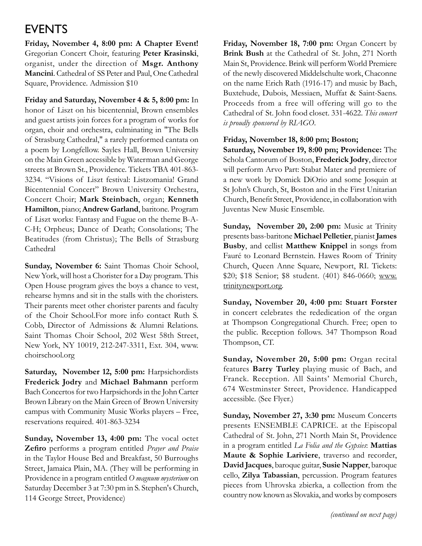### **EVENTS**

**Friday, November 4, 8:00 pm: A Chapter Event!**  Gregorian Concert Choir, featuring **Peter Krasinski**, organist, under the direction of **Msgr. Anthony Mancini**. Cathedral of SS Peter and Paul, One Cathedral Square, Providence. Admission \$10

**Friday and Saturday, November 4 & 5, 8:00 pm:** In honor of Liszt on his bicentennial, Brown ensembles and guest artists join forces for a program of works for organ, choir and orchestra, culminating in "The Bells of Strasburg Cathedral," a rarely performed cantata on a poem by Longfellow. Sayles Hall, Brown University on the Main Green accessible by Waterman and George streets at Brown St., Providence. Tickets TBA 401-863- 3234. "Visions of Liszt festival: Listzomania! Grand Bicentennial Concert" Brown University Orchestra, Concert Choir; **Mark Steinbach**, organ; **Kenneth Hamilton**, piano; **Andrew Garland**, baritone. Program of Liszt works: Fantasy and Fugue on the theme B-A-C-H; Orpheus; Dance of Death; Consolations; The Beatitudes (from Christus); The Bells of Strasburg Cathedral

**Sunday, November 6:** Saint Thomas Choir School, New York, will host a Chorister for a Day program. This Open House program gives the boys a chance to vest, rehearse hymns and sit in the stalls with the choristers. Their parents meet other chorister parents and faculty of the Choir School.For more info contact Ruth S. Cobb, Director of Admissions & Alumni Relations. Saint Thomas Choir School, 202 West 58th Street, New York, NY 10019, 212-247-3311, Ext. 304, www. choirschool.org

**Saturday, November 12, 5:00 pm:** Harpsichordists **Frederick Jodry** and **Michael Bahmann** perform Bach Concertos for two Harpsichords in the John Carter Brown Library on the Main Green of Brown University campus with Community Music Works players – Free, reservations required. 401-863-3234

**Sunday, November 13, 4:00 pm:** The vocal octet **Zefiro** performs a program entitled *Prayer and Praise*  in the Taylor House Bed and Breakfast, 50 Burroughs Street, Jamaica Plain, MA. (They will be performing in Providence in a program entitled *O magnum mysterium* on Saturday December 3 at 7:30 pm in S. Stephen's Church, 114 George Street, Providence)

**Friday, November 18, 7:00 pm:** Organ Concert by **Brink Bush** at the Cathedral of St. John, 271 North Main St, Providence. Brink will perform World Premiere of the newly discovered Middelschulte work, Chaconne on the name Erich Rath (1916-17) and music by Bach, Buxtehude, Dubois, Messiaen, Muffat & Saint-Saens. Proceeds from a free will offering will go to the Cathedral of St. John food closet. 331-4622. *This concert is proudly sponsored by RIAGO*.

#### **Friday, November 18, 8:00 pm; Boston;**

**Saturday, November 19, 8:00 pm; Providence:** The Schola Cantorum of Boston, **Frederick Jodry**, director will perform Arvo Part: Stabat Mater and premiere of a new work by Domick DiOrio and some Josquin at St John's Church, St, Boston and in the First Unitarian Church, Benefit Street, Providence, in collaboration with Juventas New Music Ensemble.

**Sunday, November 20, 2:00 pm:** Music at Trinity presents bass-baritone **Michael Pelletier**, pianist **James Busby**, and cellist **Matthew Knippel** in songs from Fauré to Leonard Bernstein. Hawes Room of Trinity Church, Queen Anne Square, Newport, RI. Tickets: \$20; \$18 Senior; \$8 student. (401) 846-0660; www. trinitynewport.org.

**Sunday, November 20, 4:00 pm: Stuart Forster** in concert celebrates the rededication of the organ at Thompson Congregational Church. Free; open to the public. Reception follows. 347 Thompson Road Thompson, CT.

**Sunday, November 20, 5:00 pm:** Organ recital features **Barry Turley** playing music of Bach, and Franck. Reception. All Saints' Memorial Church, 674 Westminster Street, Providence. Handicapped accessible. (See Flyer.)

**Sunday, November 27, 3:30 pm:** Museum Concerts presents ENSEMBLE CAPRICE. at the Episcopal Cathedral of St. John, 271 North Main St, Providence in a program entitled *La Folia and the Gypsies*: **Mattias Maute & Sophie Lariviere**, traverso and recorder, **David Jacques**, baroque guitar, **Susie Napper**, baroque cello, **Zilya Tabassian**, percussion. Program features pieces from Uhrovska zbierka, a collection from the country now known as Slovakia, and works by composers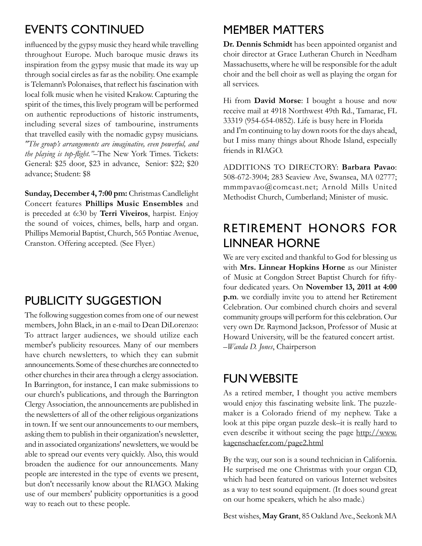## Events continued

influenced by the gypsy music they heard while travelling throughout Europe. Much baroque music draws its inspiration from the gypsy music that made its way up through social circles as far as the nobility. One example is Telemann's Polonaises, that reflect his fascination with local folk music when he visited Krakow. Capturing the spirit of the times, this lively program will be performed on authentic reproductions of historic instruments, including several sizes of tambourine, instruments that travelled easily with the nomadic gypsy musicians. *"The group's arrangements are imaginative, even powerful, and the playing is top-flight."*–The New York Times. Tickets: General: \$25 door, \$23 in advance, Senior: \$22; \$20 advance; Student: \$8

**Sunday, December 4, 7:00 pm:** Christmas Candlelight Concert features **Phillips Music Ensembles** and is preceded at 6:30 by **Terri Viveiros**, harpist. Enjoy the sound of voices, chimes, bells, harp and organ. Phillips Memorial Baptist, Church, 565 Pontiac Avenue, Cranston. Offering accepted. (See Flyer.)

# PUBLICITY SUGGESTION

The following suggestion comes from one of our newest members, John Black, in an e-mail to Dean DiLorenzo: To attract larger audiences, we should utilize each member's publicity resources. Many of our members have church newsletters, to which they can submit announcements. Some of these churches are connected to other churches in their area through a clergy association. In Barrington, for instance, I can make submissions to our church's publications, and through the Barrington Clergy Association, the announcements are published in the newsletters of all of the other religious organizations in town. If we sent our announcements to our members, asking them to publish in their organization's newsletter, and in associated organizations' newsletters, we would be able to spread our events very quickly. Also, this would broaden the audience for our announcements. Many people are interested in the type of events we present, but don't necessarily know about the RIAGO. Making use of our members' publicity opportunities is a good way to reach out to these people.

### Member Matters

**Dr. Dennis Schmidt** has been appointed organist and choir director at Grace Lutheran Church in Needham Massachusetts, where he will be responsible for the adult choir and the bell choir as well as playing the organ for all services.

Hi from **David Morse**: I bought a house and now receive mail at 4918 Northwest 49th Rd., Tamarac, FL 33319 (954-654-0852). Life is busy here in Florida and I'm continuing to lay down roots for the days ahead, but I miss many things about Rhode Island, especially friends in RIAGO.

Additions to Directory: **Barbara Pavao**: 508-672-3904; 283 Seaview Ave, Swansea, MA 02777; mmmpavao@comcast.net; Arnold Mills United Methodist Church, Cumberland; Minister of music.

# Retirement Honors for Linnear Horne

We are very excited and thankful to God for blessing us with **Mrs. Linnear Hopkins Horne** as our Minister of Music at Congdon Street Baptist Church for fiftyfour dedicated years. On **November 13, 2011 at 4:00 p.m**. we cordially invite you to attend her Retirement Celebration. Our combined church choirs and several community groups will perform for this celebration. Our very own Dr. Raymond Jackson, Professor of Music at Howard University, will be the featured concert artist. –*Wanda D. Jones*, Chairperson

# **FUN WEBSITE**

As a retired member, I thought you active members would enjoy this fascinating website link. The puzzlemaker is a Colorado friend of my nephew. Take a look at this pipe organ puzzle desk–it is really hard to even describe it without seeing the page http://www. kagenschaefer.com/page2.html

By the way, our son is a sound technician in California. He surprised me one Christmas with your organ CD, which had been featured on various Internet websites as a way to test sound equipment. (It does sound great on our home speakers, which he also made.)

Best wishes, **May Grant**, 85 Oakland Ave., Seekonk MA